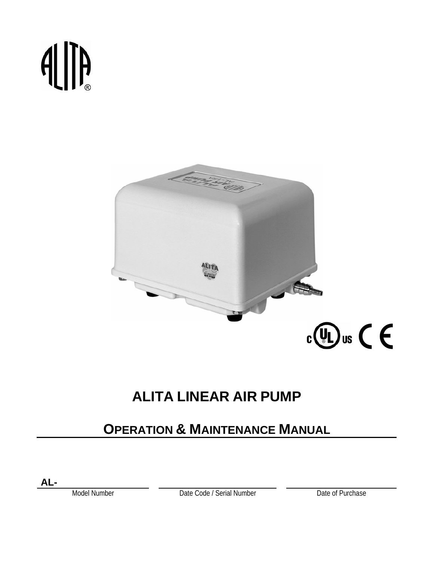# $\frac{1}{2}$



# **ALITA LINEAR AIR PUMP**

# **OPERATION & MAINTENANCE MANUAL**

**AL-**

Model Number Date Code / Serial Number Date of Purchase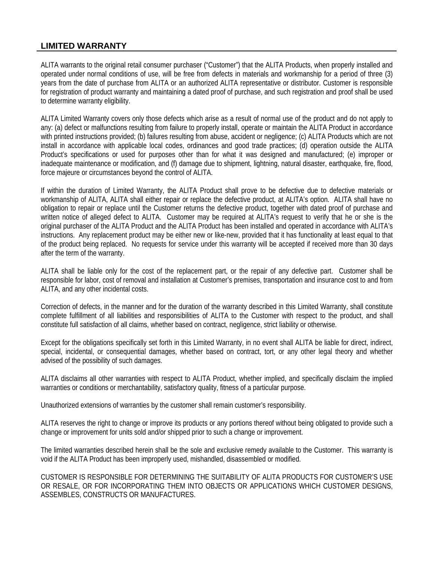### **LIMITED WARRANTY**

ALITA warrants to the original retail consumer purchaser ("Customer") that the ALITA Products, when properly installed and operated under normal conditions of use, will be free from defects in materials and workmanship for a period of three (3) years from the date of purchase from ALITA or an authorized ALITA representative or distributor. Customer is responsible for registration of product warranty and maintaining a dated proof of purchase, and such registration and proof shall be used to determine warranty eligibility.

ALITA Limited Warranty covers only those defects which arise as a result of normal use of the product and do not apply to any: (a) defect or malfunctions resulting from failure to properly install, operate or maintain the ALITA Product in accordance with printed instructions provided; (b) failures resulting from abuse, accident or negligence; (c) ALITA Products which are not install in accordance with applicable local codes, ordinances and good trade practices; (d) operation outside the ALITA Product's specifications or used for purposes other than for what it was designed and manufactured; (e) improper or inadequate maintenance or modification, and (f) damage due to shipment, lightning, natural disaster, earthquake, fire, flood, force majeure or circumstances beyond the control of ALITA.

If within the duration of Limited Warranty, the ALITA Product shall prove to be defective due to defective materials or workmanship of ALITA, ALITA shall either repair or replace the defective product, at ALITA's option. ALITA shall have no obligation to repair or replace until the Customer returns the defective product, together with dated proof of purchase and written notice of alleged defect to ALITA. Customer may be required at ALITA's request to verify that he or she is the original purchaser of the ALITA Product and the ALITA Product has been installed and operated in accordance with ALITA's instructions. Any replacement product may be either new or like-new, provided that it has functionality at least equal to that of the product being replaced. No requests for service under this warranty will be accepted if received more than 30 days after the term of the warranty.

ALITA shall be liable only for the cost of the replacement part, or the repair of any defective part. Customer shall be responsible for labor, cost of removal and installation at Customer's premises, transportation and insurance cost to and from ALITA, and any other incidental costs.

Correction of defects, in the manner and for the duration of the warranty described in this Limited Warranty, shall constitute complete fulfillment of all liabilities and responsibilities of ALITA to the Customer with respect to the product, and shall constitute full satisfaction of all claims, whether based on contract, negligence, strict liability or otherwise.

Except for the obligations specifically set forth in this Limited Warranty, in no event shall ALITA be liable for direct, indirect, special, incidental, or consequential damages, whether based on contract, tort, or any other legal theory and whether advised of the possibility of such damages.

ALITA disclaims all other warranties with respect to ALITA Product, whether implied, and specifically disclaim the implied warranties or conditions or merchantability, satisfactory quality, fitness of a particular purpose.

Unauthorized extensions of warranties by the customer shall remain customer's responsibility.

ALITA reserves the right to change or improve its products or any portions thereof without being obligated to provide such a change or improvement for units sold and/or shipped prior to such a change or improvement.

The limited warranties described herein shall be the sole and exclusive remedy available to the Customer. This warranty is void if the ALITA Product has been improperly used, mishandled, disassembled or modified.

CUSTOMER IS RESPONSIBLE FOR DETERMINING THE SUITABILITY OF ALITA PRODUCTS FOR CUSTOMER'S USE OR RESALE, OR FOR INCORPORATING THEM INTO OBJECTS OR APPLICATIONS WHICH CUSTOMER DESIGNS, ASSEMBLES, CONSTRUCTS OR MANUFACTURES.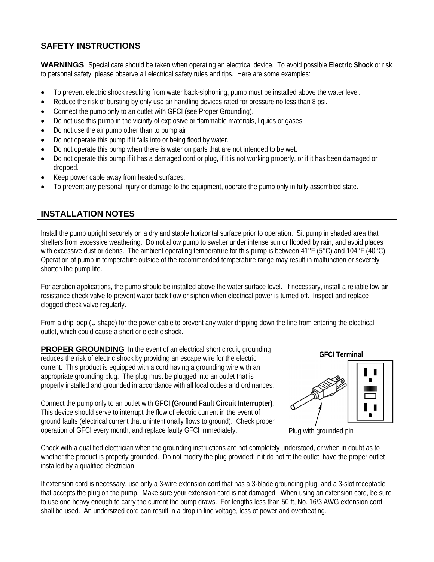## **SAFETY INSTRUCTIONS**

**WARNINGS** Special care should be taken when operating an electrical device. To avoid possible **Electric Shock** or risk to personal safety, please observe all electrical safety rules and tips. Here are some examples:

- To prevent electric shock resulting from water back-siphoning, pump must be installed above the water level.
- Reduce the risk of bursting by only use air handling devices rated for pressure no less than 8 psi.
- Connect the pump only to an outlet with GFCI (see Proper Grounding).
- Do not use this pump in the vicinity of explosive or flammable materials, liquids or gases.
- Do not use the air pump other than to pump air.
- Do not operate this pump if it falls into or being flood by water.
- Do not operate this pump when there is water on parts that are not intended to be wet.
- Do not operate this pump if it has a damaged cord or plug, if it is not working properly, or if it has been damaged or dropped.
- Keep power cable away from heated surfaces.
- To prevent any personal injury or damage to the equipment, operate the pump only in fully assembled state.

# **INSTALLATION NOTES**

Install the pump upright securely on a dry and stable horizontal surface prior to operation. Sit pump in shaded area that shelters from excessive weathering. Do not allow pump to swelter under intense sun or flooded by rain, and avoid places with excessive dust or debris. The ambient operating temperature for this pump is between  $41^{\circ}$ F ( $5^{\circ}$ C) and  $104^{\circ}$ F ( $40^{\circ}$ C). Operation of pump in temperature outside of the recommended temperature range may result in malfunction or severely shorten the pump life.

For aeration applications, the pump should be installed above the water surface level. If necessary, install a reliable low air resistance check valve to prevent water back flow or siphon when electrical power is turned off. Inspect and replace clogged check valve regularly.

From a drip loop (U shape) for the power cable to prevent any water dripping down the line from entering the electrical outlet, which could cause a short or electric shock.

**PROPER GROUNDING** In the event of an electrical short circuit, grounding reduces the risk of electric shock by providing an escape wire for the electric current. This product is equipped with a cord having a grounding wire with an appropriate grounding plug. The plug must be plugged into an outlet that is properly installed and grounded in accordance with all local codes and ordinances.

Connect the pump only to an outlet with **GFCI (Ground Fault Circuit Interrupter)**. This device should serve to interrupt the flow of electric current in the event of ground faults (electrical current that unintentionally flows to ground). Check proper operation of GFCI every month, and replace faulty GFCI immediately.





Check with a qualified electrician when the grounding instructions are not completely understood, or when in doubt as to whether the product is properly grounded. Do not modify the plug provided; if it do not fit the outlet, have the proper outlet installed by a qualified electrician.

If extension cord is necessary, use only a 3-wire extension cord that has a 3-blade grounding plug, and a 3-slot receptacle that accepts the plug on the pump. Make sure your extension cord is not damaged. When using an extension cord, be sure to use one heavy enough to carry the current the pump draws. For lengths less than 50 ft, No. 16/3 AWG extension cord shall be used. An undersized cord can result in a drop in line voltage, loss of power and overheating.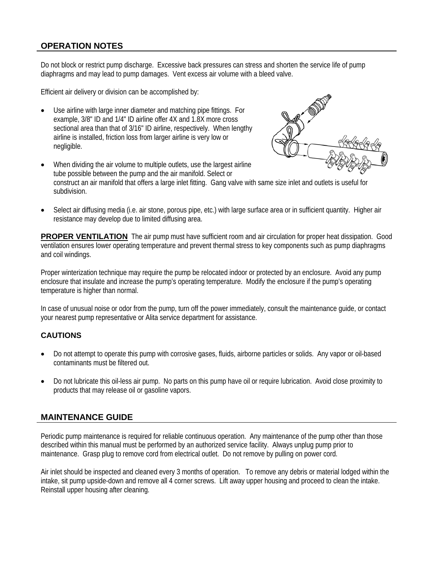# **OPERATION NOTES**

Do not block or restrict pump discharge. Excessive back pressures can stress and shorten the service life of pump diaphragms and may lead to pump damages. Vent excess air volume with a bleed valve.

Efficient air delivery or division can be accomplished by:

Use airline with large inner diameter and matching pipe fittings. For example, 3/8" ID and 1/4" ID airline offer 4X and 1.8X more cross sectional area than that of 3/16" ID airline, respectively. When lengthy airline is installed, friction loss from larger airline is very low or negligible.



- When dividing the air volume to multiple outlets, use the largest airline tube possible between the pump and the air manifold. Select or construct an air manifold that offers a large inlet fitting. Gang valve with same size inlet and outlets is useful for subdivision.
- Select air diffusing media (i.e. air stone, porous pipe, etc.) with large surface area or in sufficient quantity. Higher air resistance may develop due to limited diffusing area.

**PROPER VENTILATION** The air pump must have sufficient room and air circulation for proper heat dissipation. Good ventilation ensures lower operating temperature and prevent thermal stress to key components such as pump diaphragms and coil windings.

Proper winterization technique may require the pump be relocated indoor or protected by an enclosure. Avoid any pump enclosure that insulate and increase the pump's operating temperature. Modify the enclosure if the pump's operating temperature is higher than normal.

In case of unusual noise or odor from the pump, turn off the power immediately, consult the maintenance guide, or contact your nearest pump representative or Alita service department for assistance.

### **CAUTIONS**

- Do not attempt to operate this pump with corrosive gases, fluids, airborne particles or solids. Any vapor or oil-based contaminants must be filtered out.
- Do not lubricate this oil-less air pump. No parts on this pump have oil or require lubrication. Avoid close proximity to products that may release oil or gasoline vapors.

### **MAINTENANCE GUIDE**

Periodic pump maintenance is required for reliable continuous operation. Any maintenance of the pump other than those described within this manual must be performed by an authorized service facility. Always unplug pump prior to maintenance. Grasp plug to remove cord from electrical outlet. Do not remove by pulling on power cord.

Air inlet should be inspected and cleaned every 3 months of operation. To remove any debris or material lodged within the intake, sit pump upside-down and remove all 4 corner screws. Lift away upper housing and proceed to clean the intake. Reinstall upper housing after cleaning.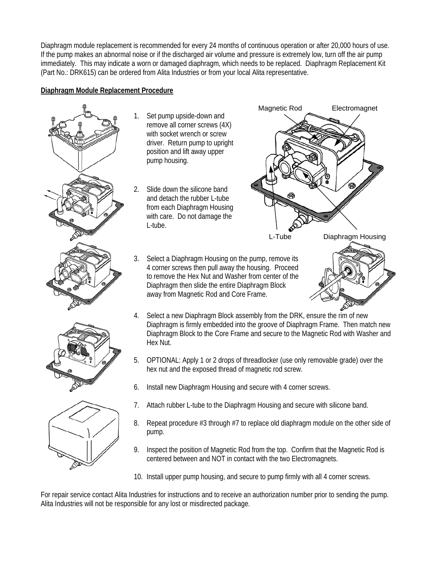Diaphragm module replacement is recommended for every 24 months of continuous operation or after 20,000 hours of use. If the pump makes an abnormal noise or if the discharged air volume and pressure is extremely low, turn off the air pump immediately. This may indicate a worn or damaged diaphragm, which needs to be replaced. Diaphragm Replacement Kit (Part No.: DRK615) can be ordered from Alita Industries or from your local Alita representative.

#### **Diaphragm Module Replacement Procedure**





- 1. Set pump upside-down and remove all corner screws (4X) with socket wrench or screw driver. Return pump to upright position and lift away upper pump housing.
- 2. Slide down the silicone band and detach the rubber L-tube from each Diaphragm Housing with care. Do not damage the L-tube.



- 3. Select a Diaphragm Housing on the pump, remove its 4 corner screws then pull away the housing. Proceed to remove the Hex Nut and Washer from center of the Diaphragm then slide the entire Diaphragm Block away from Magnetic Rod and Core Frame.
- 4. Select a new Diaphragm Block assembly from the DRK, ensure the rim of new Diaphragm is firmly embedded into the groove of Diaphragm Frame. Then match new Diaphragm Block to the Core Frame and secure to the Magnetic Rod with Washer and Hex Nut.
- 5. OPTIONAL: Apply 1 or 2 drops of threadlocker (use only removable grade) over the hex nut and the exposed thread of magnetic rod screw.
- 6. Install new Diaphragm Housing and secure with 4 corner screws.
- 7. Attach rubber L-tube to the Diaphragm Housing and secure with silicone band.
- 8. Repeat procedure #3 through #7 to replace old diaphragm module on the other side of pump.
- 9. Inspect the position of Magnetic Rod from the top. Confirm that the Magnetic Rod is centered between and NOT in contact with the two Electromagnets.
- 10. Install upper pump housing, and secure to pump firmly with all 4 corner screws.

For repair service contact Alita Industries for instructions and to receive an authorization number prior to sending the pump. Alita Industries will not be responsible for any lost or misdirected package.